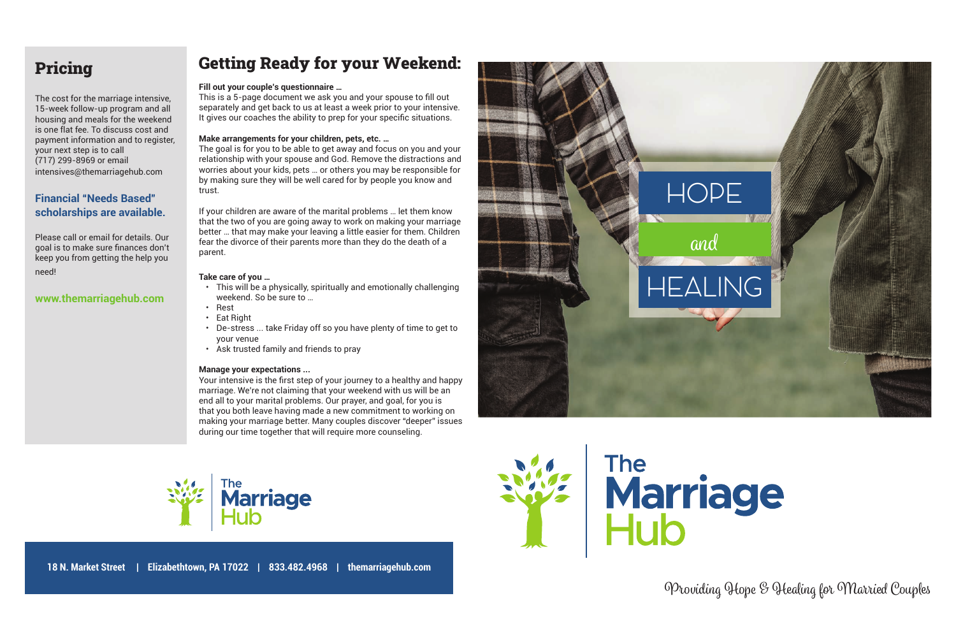

OProviding Hope & Healing for Married Couples







# Pricing

The cost for the marriage intensive, 15-week follow-up program and all housing and meals for the weekend is one flat fee. To discuss cost and payment information and to register, your next step is to call (717) 299-8969 or email intensives@themarriagehub.com

# **Financial "Needs Based" scholarships are available.**

Please call or email for details. Our goal is to make sure finances don't keep you from getting the help you need!

### **www.themarriagehub.com**

# Getting Ready for your Weekend:

#### **Fill out your couple's questionnaire …**

This is a 5-page document we ask you and your spouse to fill out separately and get back to us at least a week prior to your intensive. It gives our coaches the ability to prep for your specific situations.

#### **Make arrangements for your children, pets, etc. …**

The goal is for you to be able to get away and focus on you and your relationship with your spouse and God. Remove the distractions and worries about your kids, pets … or others you may be responsible for by making sure they will be well cared for by people you know and trust.

Your intensive is the first step of your journey to a healthy and happy marriage. We're not claiming that your weekend with us will be an end all to your marital problems. Our prayer, and goal, for you is that you both leave having made a new commitment to working on making your marriage better. Many couples discover "deeper" issues during our time together that will require more counseling.



If your children are aware of the marital problems … let them know that the two of you are going away to work on making your marriage better … that may make your leaving a little easier for them. Children fear the divorce of their parents more than they do the death of a parent.

#### **Take care of you …**

- This will be a physically, spiritually and emotionally challenging weekend. So be sure to …
- Rest
- Eat Right
- De-stress ... take Friday off so you have plenty of time to get to your venue
- Ask trusted family and friends to pray

#### **Manage your expectations ...**